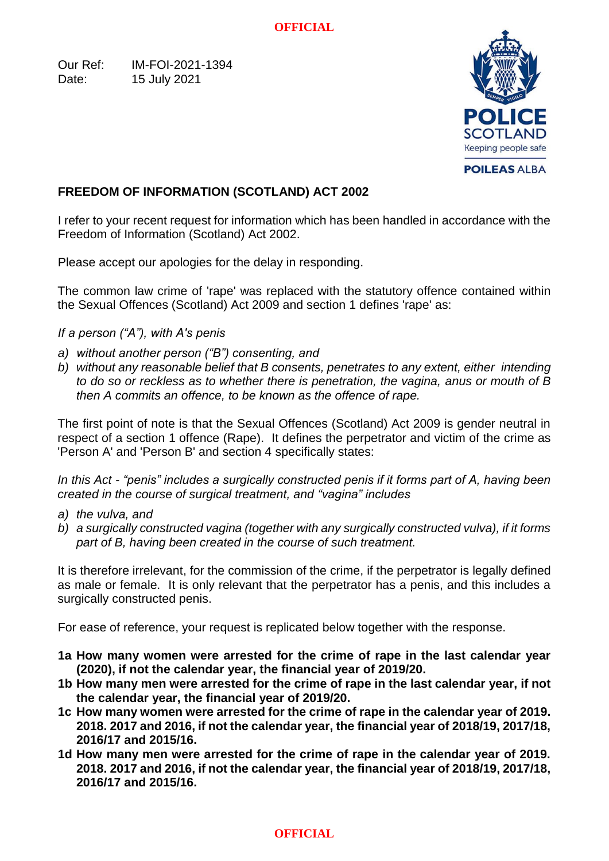Our Ref: IM-FOI-2021-1394 Date: 15 July 2021



# **FREEDOM OF INFORMATION (SCOTLAND) ACT 2002**

I refer to your recent request for information which has been handled in accordance with the Freedom of Information (Scotland) Act 2002.

Please accept our apologies for the delay in responding.

The common law crime of 'rape' was replaced with the statutory offence contained within the Sexual Offences (Scotland) Act 2009 and section 1 defines 'rape' as:

*If a person ("A"), with A's penis*

- *a) without another person ("B") consenting, and*
- *b) without any reasonable belief that B consents, penetrates to any extent, either intending to do so or reckless as to whether there is penetration, the vagina, anus or mouth of B then A commits an offence, to be known as the offence of rape.*

The first point of note is that the Sexual Offences (Scotland) Act 2009 is gender neutral in respect of a section 1 offence (Rape). It defines the perpetrator and victim of the crime as 'Person A' and 'Person B' and section 4 specifically states:

*In this Act - "penis" includes a surgically constructed penis if it forms part of A, having been created in the course of surgical treatment, and "vagina" includes*

- *a) the vulva, and*
- *b) a surgically constructed vagina (together with any surgically constructed vulva), if it forms part of B, having been created in the course of such treatment.*

It is therefore irrelevant, for the commission of the crime, if the perpetrator is legally defined as male or female. It is only relevant that the perpetrator has a penis, and this includes a surgically constructed penis.

For ease of reference, your request is replicated below together with the response.

- **1a How many women were arrested for the crime of rape in the last calendar year (2020), if not the calendar year, the financial year of 2019/20.**
- **1b How many men were arrested for the crime of rape in the last calendar year, if not the calendar year, the financial year of 2019/20.**
- **1c How many women were arrested for the crime of rape in the calendar year of 2019. 2018. 2017 and 2016, if not the calendar year, the financial year of 2018/19, 2017/18, 2016/17 and 2015/16.**
- **1d How many men were arrested for the crime of rape in the calendar year of 2019. 2018. 2017 and 2016, if not the calendar year, the financial year of 2018/19, 2017/18, 2016/17 and 2015/16.**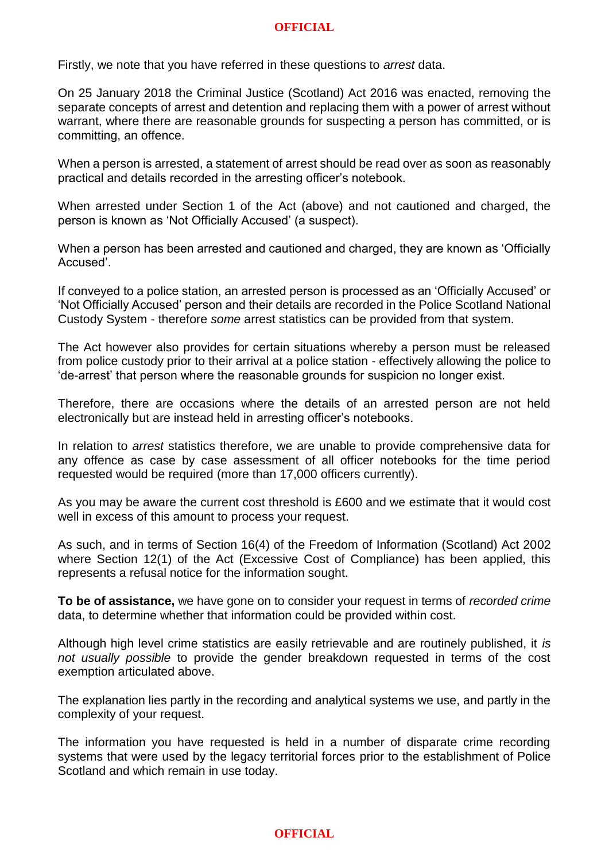Firstly, we note that you have referred in these questions to *arrest* data.

On 25 January 2018 the Criminal Justice (Scotland) Act 2016 was enacted, removing the separate concepts of arrest and detention and replacing them with a power of arrest without warrant, where there are reasonable grounds for suspecting a person has committed, or is committing, an offence.

When a person is arrested, a statement of arrest should be read over as soon as reasonably practical and details recorded in the arresting officer's notebook.

When arrested under Section 1 of the Act (above) and not cautioned and charged, the person is known as 'Not Officially Accused' (a suspect).

When a person has been arrested and cautioned and charged, they are known as 'Officially Accused'.

If conveyed to a police station, an arrested person is processed as an 'Officially Accused' or 'Not Officially Accused' person and their details are recorded in the Police Scotland National Custody System - therefore *some* arrest statistics can be provided from that system.

The Act however also provides for certain situations whereby a person must be released from police custody prior to their arrival at a police station - effectively allowing the police to 'de-arrest' that person where the reasonable grounds for suspicion no longer exist.

Therefore, there are occasions where the details of an arrested person are not held electronically but are instead held in arresting officer's notebooks.

In relation to *arrest* statistics therefore, we are unable to provide comprehensive data for any offence as case by case assessment of all officer notebooks for the time period requested would be required (more than 17,000 officers currently).

As you may be aware the current cost threshold is £600 and we estimate that it would cost well in excess of this amount to process your request.

As such, and in terms of Section 16(4) of the Freedom of Information (Scotland) Act 2002 where Section 12(1) of the Act (Excessive Cost of Compliance) has been applied, this represents a refusal notice for the information sought.

**To be of assistance,** we have gone on to consider your request in terms of *recorded crime* data, to determine whether that information could be provided within cost.

Although high level crime statistics are easily retrievable and are routinely published, it *is not usually possible* to provide the gender breakdown requested in terms of the cost exemption articulated above.

The explanation lies partly in the recording and analytical systems we use, and partly in the complexity of your request.

The information you have requested is held in a number of disparate crime recording systems that were used by the legacy territorial forces prior to the establishment of Police Scotland and which remain in use today.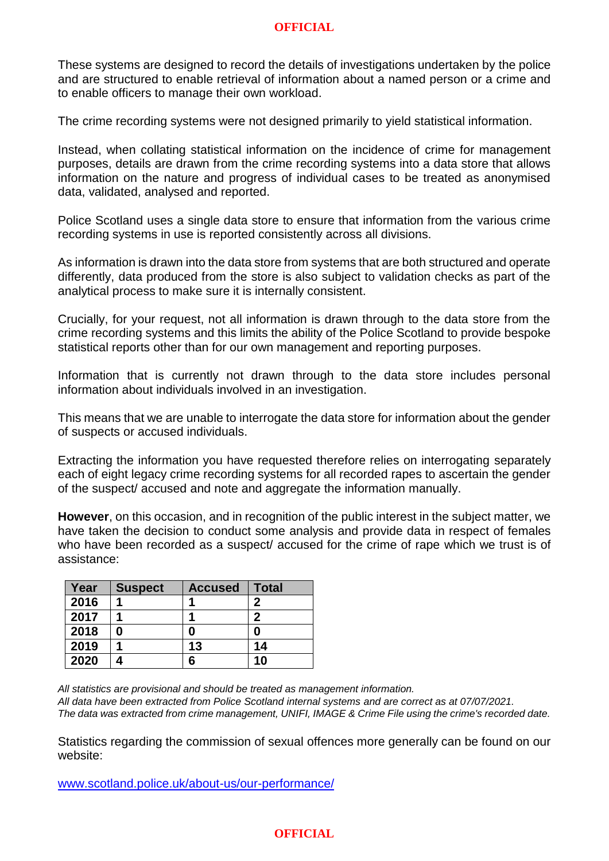These systems are designed to record the details of investigations undertaken by the police and are structured to enable retrieval of information about a named person or a crime and to enable officers to manage their own workload.

The crime recording systems were not designed primarily to yield statistical information.

Instead, when collating statistical information on the incidence of crime for management purposes, details are drawn from the crime recording systems into a data store that allows information on the nature and progress of individual cases to be treated as anonymised data, validated, analysed and reported.

Police Scotland uses a single data store to ensure that information from the various crime recording systems in use is reported consistently across all divisions.

As information is drawn into the data store from systems that are both structured and operate differently, data produced from the store is also subject to validation checks as part of the analytical process to make sure it is internally consistent.

Crucially, for your request, not all information is drawn through to the data store from the crime recording systems and this limits the ability of the Police Scotland to provide bespoke statistical reports other than for our own management and reporting purposes.

Information that is currently not drawn through to the data store includes personal information about individuals involved in an investigation.

This means that we are unable to interrogate the data store for information about the gender of suspects or accused individuals.

Extracting the information you have requested therefore relies on interrogating separately each of eight legacy crime recording systems for all recorded rapes to ascertain the gender of the suspect/ accused and note and aggregate the information manually.

**However**, on this occasion, and in recognition of the public interest in the subject matter, we have taken the decision to conduct some analysis and provide data in respect of females who have been recorded as a suspect/ accused for the crime of rape which we trust is of assistance:

| Year | <b>Suspect</b> | <b>Accused</b> | <b>Total</b> |
|------|----------------|----------------|--------------|
| 2016 |                |                | 2            |
| 2017 |                |                | 2            |
| 2018 | 0              | 0              | 0            |
| 2019 |                | 13             | 14           |
| 2020 |                | 6              | 10           |

*All statistics are provisional and should be treated as management information.* 

*All data have been extracted from Police Scotland internal systems and are correct as at 07/07/2021. The data was extracted from crime management, UNIFI, IMAGE & Crime File using the crime's recorded date.* 

Statistics regarding the commission of sexual offences more generally can be found on our website:

[www.scotland.police.uk/about-us/our-performance/](http://www.scotland.police.uk/about-us/our-performance/)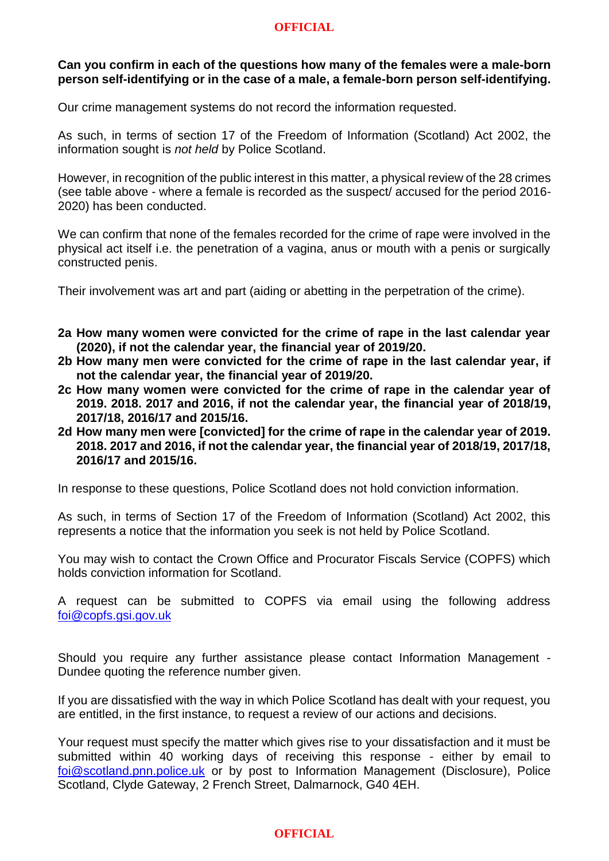## **Can you confirm in each of the questions how many of the females were a male-born person self-identifying or in the case of a male, a female-born person self-identifying.**

Our crime management systems do not record the information requested.

As such, in terms of section 17 of the Freedom of Information (Scotland) Act 2002, the information sought is *not held* by Police Scotland.

However, in recognition of the public interest in this matter, a physical review of the 28 crimes (see table above - where a female is recorded as the suspect/ accused for the period 2016- 2020) has been conducted.

We can confirm that none of the females recorded for the crime of rape were involved in the physical act itself i.e. the penetration of a vagina, anus or mouth with a penis or surgically constructed penis.

Their involvement was art and part (aiding or abetting in the perpetration of the crime).

- **2a How many women were convicted for the crime of rape in the last calendar year (2020), if not the calendar year, the financial year of 2019/20.**
- **2b How many men were convicted for the crime of rape in the last calendar year, if not the calendar year, the financial year of 2019/20.**
- **2c How many women were convicted for the crime of rape in the calendar year of 2019. 2018. 2017 and 2016, if not the calendar year, the financial year of 2018/19, 2017/18, 2016/17 and 2015/16.**
- **2d How many men were [convicted] for the crime of rape in the calendar year of 2019. 2018. 2017 and 2016, if not the calendar year, the financial year of 2018/19, 2017/18, 2016/17 and 2015/16.**

In response to these questions, Police Scotland does not hold conviction information.

As such, in terms of Section 17 of the Freedom of Information (Scotland) Act 2002, this represents a notice that the information you seek is not held by Police Scotland.

You may wish to contact the Crown Office and Procurator Fiscals Service (COPFS) which holds conviction information for Scotland.

A request can be submitted to COPFS via email using the following address [foi@copfs.gsi.gov.uk](mailto:foi@copfs.gsi.gov.uk) 

Should you require any further assistance please contact Information Management - Dundee quoting the reference number given.

If you are dissatisfied with the way in which Police Scotland has dealt with your request, you are entitled, in the first instance, to request a review of our actions and decisions.

Your request must specify the matter which gives rise to your dissatisfaction and it must be submitted within 40 working days of receiving this response - either by email to [foi@scotland.pnn.police.uk](mailto:foi@scotland.pnn.police.uk) or by post to Information Management (Disclosure), Police Scotland, Clyde Gateway, 2 French Street, Dalmarnock, G40 4EH.